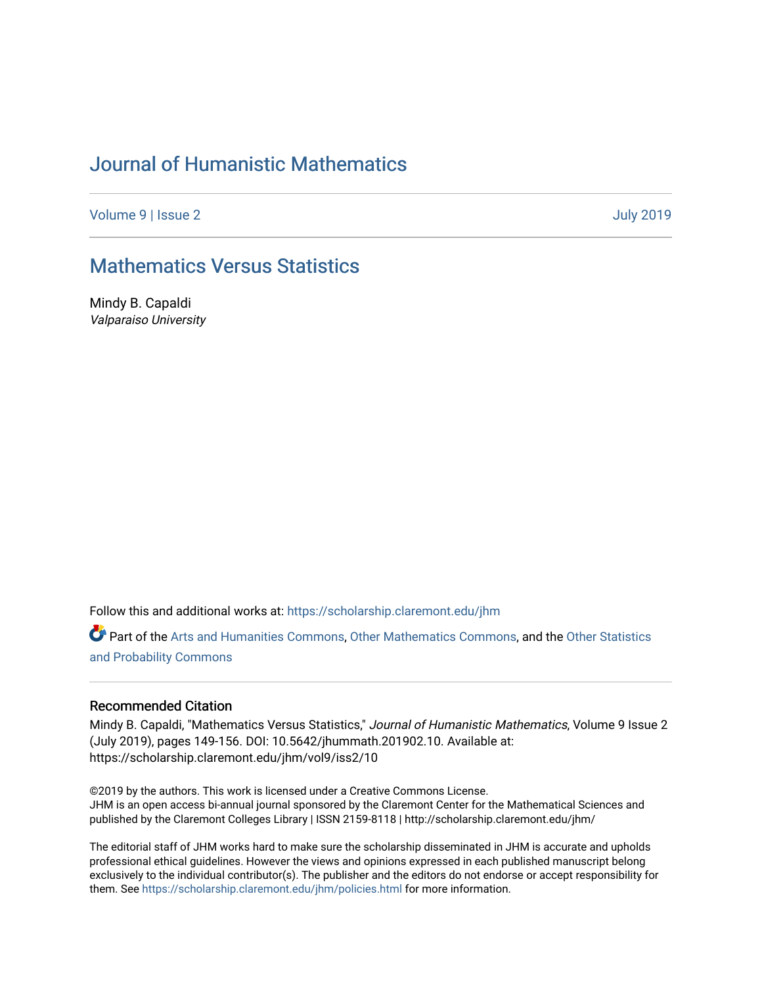# [Journal of Humanistic Mathematics](https://scholarship.claremont.edu/jhm)

[Volume 9](https://scholarship.claremont.edu/jhm/vol9) | [Issue 2](https://scholarship.claremont.edu/jhm/vol9/iss2) [July 2019](https://scholarship.claremont.edu/jhm/vol9/iss2) 

# [Mathematics Versus Statistics](https://scholarship.claremont.edu/jhm/vol9/iss2/10)

Mindy B. Capaldi Valparaiso University

Follow this and additional works at: [https://scholarship.claremont.edu/jhm](https://scholarship.claremont.edu/jhm?utm_source=scholarship.claremont.edu%2Fjhm%2Fvol9%2Fiss2%2F10&utm_medium=PDF&utm_campaign=PDFCoverPages)

Part of the [Arts and Humanities Commons,](http://network.bepress.com/hgg/discipline/438?utm_source=scholarship.claremont.edu%2Fjhm%2Fvol9%2Fiss2%2F10&utm_medium=PDF&utm_campaign=PDFCoverPages) [Other Mathematics Commons](http://network.bepress.com/hgg/discipline/185?utm_source=scholarship.claremont.edu%2Fjhm%2Fvol9%2Fiss2%2F10&utm_medium=PDF&utm_campaign=PDFCoverPages), and the Other Statistics [and Probability Commons](http://network.bepress.com/hgg/discipline/215?utm_source=scholarship.claremont.edu%2Fjhm%2Fvol9%2Fiss2%2F10&utm_medium=PDF&utm_campaign=PDFCoverPages) 

#### Recommended Citation

Mindy B. Capaldi, "Mathematics Versus Statistics," Journal of Humanistic Mathematics, Volume 9 Issue 2 (July 2019), pages 149-156. DOI: 10.5642/jhummath.201902.10. Available at: https://scholarship.claremont.edu/jhm/vol9/iss2/10

©2019 by the authors. This work is licensed under a Creative Commons License. JHM is an open access bi-annual journal sponsored by the Claremont Center for the Mathematical Sciences and published by the Claremont Colleges Library | ISSN 2159-8118 | http://scholarship.claremont.edu/jhm/

The editorial staff of JHM works hard to make sure the scholarship disseminated in JHM is accurate and upholds professional ethical guidelines. However the views and opinions expressed in each published manuscript belong exclusively to the individual contributor(s). The publisher and the editors do not endorse or accept responsibility for them. See<https://scholarship.claremont.edu/jhm/policies.html> for more information.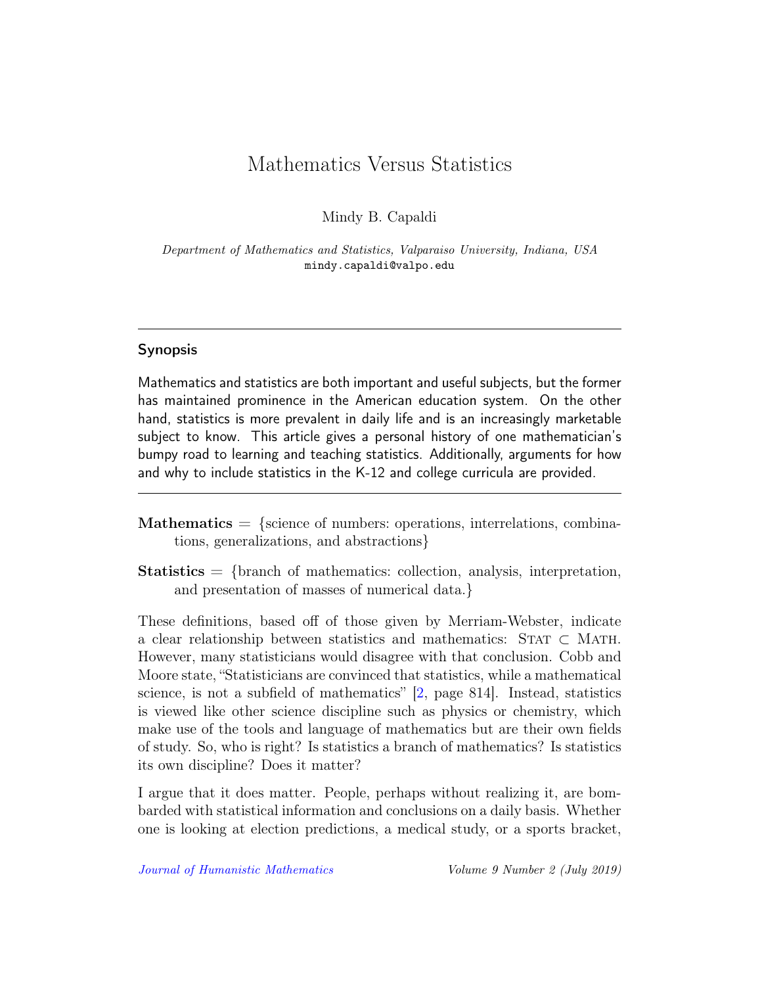# Mathematics Versus Statistics

Mindy B. Capaldi

Department of Mathematics and Statistics, Valparaiso University, Indiana, USA mindy.capaldi@valpo.edu

### Synopsis

Mathematics and statistics are both important and useful subjects, but the former has maintained prominence in the American education system. On the other hand, statistics is more prevalent in daily life and is an increasingly marketable subject to know. This article gives a personal history of one mathematician's bumpy road to learning and teaching statistics. Additionally, arguments for how and why to include statistics in the K-12 and college curricula are provided.

- $$ tions, generalizations, and abstractions}
- Statistics = {branch of mathematics: collection, analysis, interpretation, and presentation of masses of numerical data.}

These definitions, based off of those given by Merriam-Webster, indicate a clear relationship between statistics and mathematics:  $STAT \subset MATH$ . However, many statisticians would disagree with that conclusion. Cobb and Moore state, "Statisticians are convinced that statistics, while a mathematical science, is not a subfield of mathematics" [\[2,](#page-7-0) page 814]. Instead, statistics is viewed like other science discipline such as physics or chemistry, which make use of the tools and language of mathematics but are their own fields of study. So, who is right? Is statistics a branch of mathematics? Is statistics its own discipline? Does it matter?

I argue that it does matter. People, perhaps without realizing it, are bombarded with statistical information and conclusions on a daily basis. Whether one is looking at election predictions, a medical study, or a sports bracket,

[Journal of Humanistic Mathematics](http://scholarship.claremont.edu/jhm/) Volume 9 Number 2 (July 2019)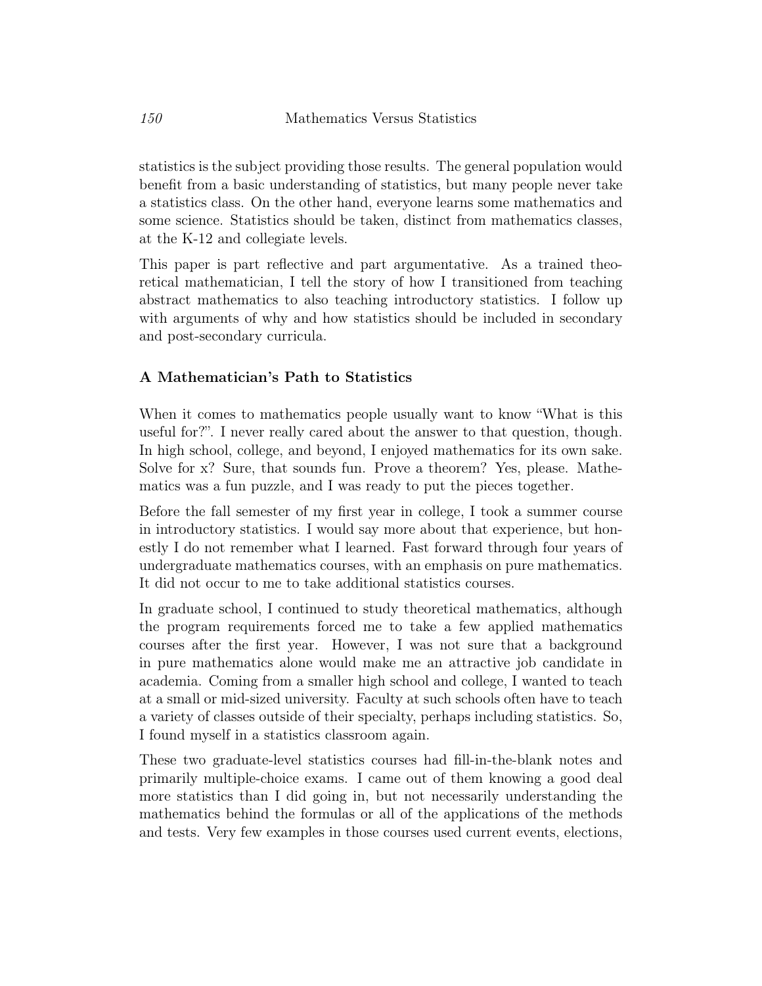statistics is the subject providing those results. The general population would benefit from a basic understanding of statistics, but many people never take a statistics class. On the other hand, everyone learns some mathematics and some science. Statistics should be taken, distinct from mathematics classes, at the K-12 and collegiate levels.

This paper is part reflective and part argumentative. As a trained theoretical mathematician, I tell the story of how I transitioned from teaching abstract mathematics to also teaching introductory statistics. I follow up with arguments of why and how statistics should be included in secondary and post-secondary curricula.

## A Mathematician's Path to Statistics

When it comes to mathematics people usually want to know "What is this useful for?". I never really cared about the answer to that question, though. In high school, college, and beyond, I enjoyed mathematics for its own sake. Solve for x? Sure, that sounds fun. Prove a theorem? Yes, please. Mathematics was a fun puzzle, and I was ready to put the pieces together.

Before the fall semester of my first year in college, I took a summer course in introductory statistics. I would say more about that experience, but honestly I do not remember what I learned. Fast forward through four years of undergraduate mathematics courses, with an emphasis on pure mathematics. It did not occur to me to take additional statistics courses.

In graduate school, I continued to study theoretical mathematics, although the program requirements forced me to take a few applied mathematics courses after the first year. However, I was not sure that a background in pure mathematics alone would make me an attractive job candidate in academia. Coming from a smaller high school and college, I wanted to teach at a small or mid-sized university. Faculty at such schools often have to teach a variety of classes outside of their specialty, perhaps including statistics. So, I found myself in a statistics classroom again.

These two graduate-level statistics courses had fill-in-the-blank notes and primarily multiple-choice exams. I came out of them knowing a good deal more statistics than I did going in, but not necessarily understanding the mathematics behind the formulas or all of the applications of the methods and tests. Very few examples in those courses used current events, elections,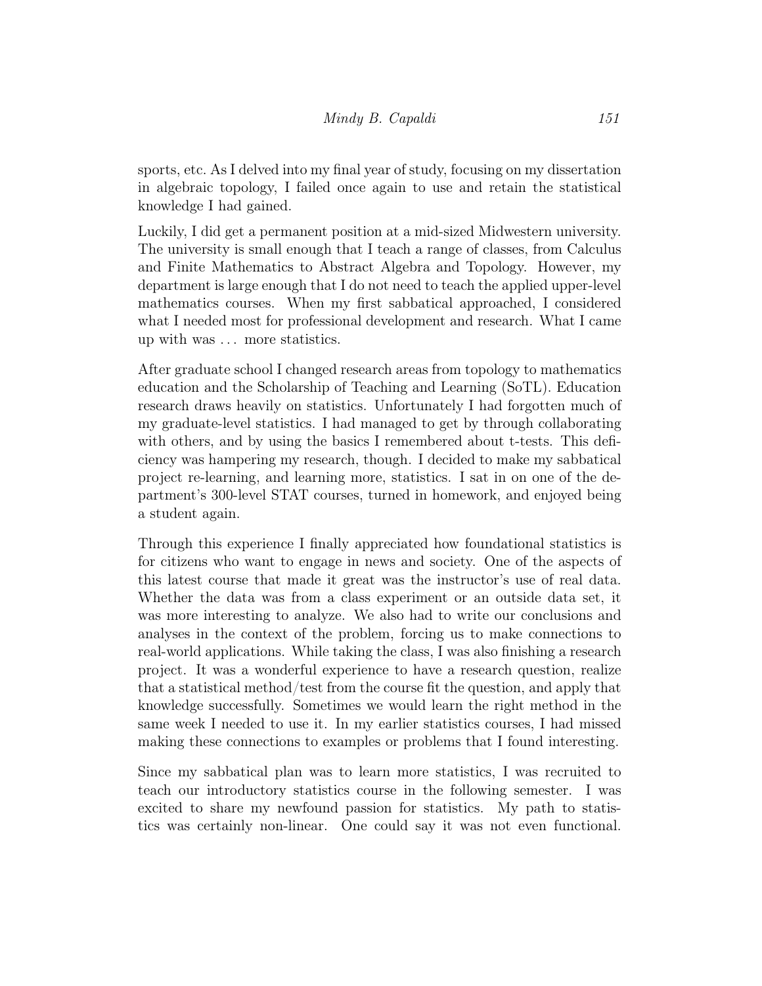sports, etc. As I delved into my final year of study, focusing on my dissertation in algebraic topology, I failed once again to use and retain the statistical knowledge I had gained.

Luckily, I did get a permanent position at a mid-sized Midwestern university. The university is small enough that I teach a range of classes, from Calculus and Finite Mathematics to Abstract Algebra and Topology. However, my department is large enough that I do not need to teach the applied upper-level mathematics courses. When my first sabbatical approached, I considered what I needed most for professional development and research. What I came up with was . . . more statistics.

After graduate school I changed research areas from topology to mathematics education and the Scholarship of Teaching and Learning (SoTL). Education research draws heavily on statistics. Unfortunately I had forgotten much of my graduate-level statistics. I had managed to get by through collaborating with others, and by using the basics I remembered about t-tests. This deficiency was hampering my research, though. I decided to make my sabbatical project re-learning, and learning more, statistics. I sat in on one of the department's 300-level STAT courses, turned in homework, and enjoyed being a student again.

Through this experience I finally appreciated how foundational statistics is for citizens who want to engage in news and society. One of the aspects of this latest course that made it great was the instructor's use of real data. Whether the data was from a class experiment or an outside data set, it was more interesting to analyze. We also had to write our conclusions and analyses in the context of the problem, forcing us to make connections to real-world applications. While taking the class, I was also finishing a research project. It was a wonderful experience to have a research question, realize that a statistical method/test from the course fit the question, and apply that knowledge successfully. Sometimes we would learn the right method in the same week I needed to use it. In my earlier statistics courses, I had missed making these connections to examples or problems that I found interesting.

Since my sabbatical plan was to learn more statistics, I was recruited to teach our introductory statistics course in the following semester. I was excited to share my newfound passion for statistics. My path to statistics was certainly non-linear. One could say it was not even functional.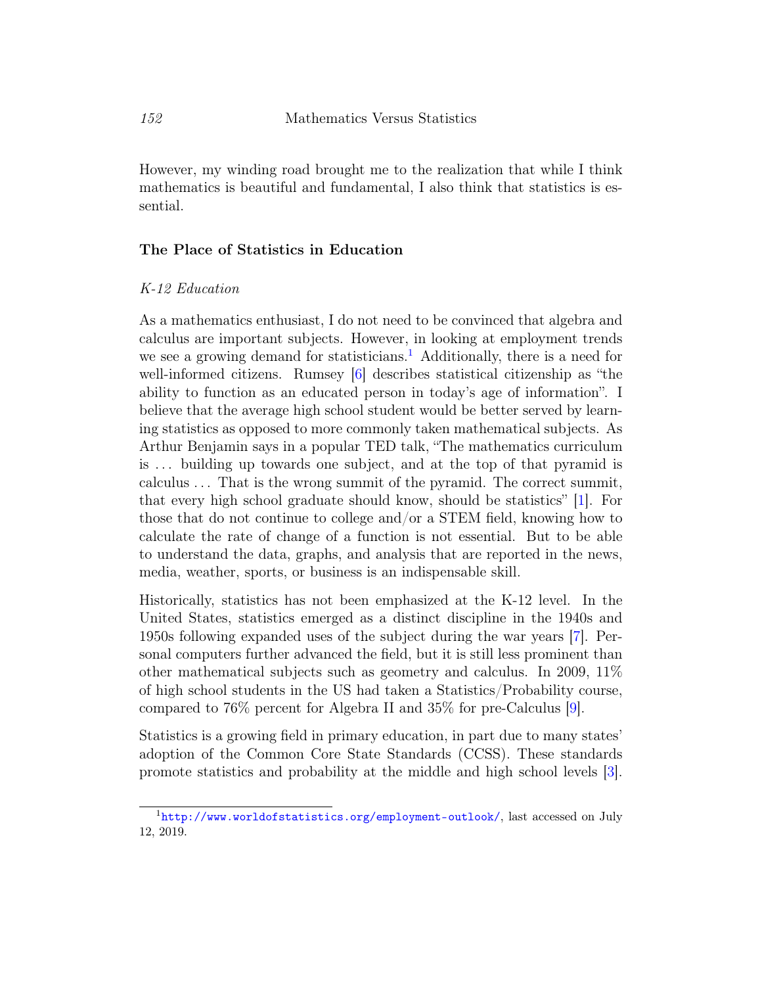However, my winding road brought me to the realization that while I think mathematics is beautiful and fundamental, I also think that statistics is essential.

#### The Place of Statistics in Education

#### K-12 Education

As a mathematics enthusiast, I do not need to be convinced that algebra and calculus are important subjects. However, in looking at employment trends we see a growing demand for statisticians.<sup>[1](#page-4-0)</sup> Additionally, there is a need for well-informed citizens. Rumsey [\[6\]](#page-7-1) describes statistical citizenship as "the ability to function as an educated person in today's age of information". I believe that the average high school student would be better served by learning statistics as opposed to more commonly taken mathematical subjects. As Arthur Benjamin says in a popular TED talk, "The mathematics curriculum is . . . building up towards one subject, and at the top of that pyramid is calculus . . . That is the wrong summit of the pyramid. The correct summit, that every high school graduate should know, should be statistics" [\[1\]](#page-7-2). For those that do not continue to college and/or a STEM field, knowing how to calculate the rate of change of a function is not essential. But to be able to understand the data, graphs, and analysis that are reported in the news, media, weather, sports, or business is an indispensable skill.

Historically, statistics has not been emphasized at the K-12 level. In the United States, statistics emerged as a distinct discipline in the 1940s and 1950s following expanded uses of the subject during the war years [\[7\]](#page-8-0). Personal computers further advanced the field, but it is still less prominent than other mathematical subjects such as geometry and calculus. In 2009, 11% of high school students in the US had taken a Statistics/Probability course, compared to 76% percent for Algebra II and 35% for pre-Calculus [\[9\]](#page-8-1).

Statistics is a growing field in primary education, in part due to many states' adoption of the Common Core State Standards (CCSS). These standards promote statistics and probability at the middle and high school levels [\[3\]](#page-7-3).

<span id="page-4-0"></span><sup>1</sup><http://www.worldofstatistics.org/employment-outlook/>, last accessed on July 12, 2019.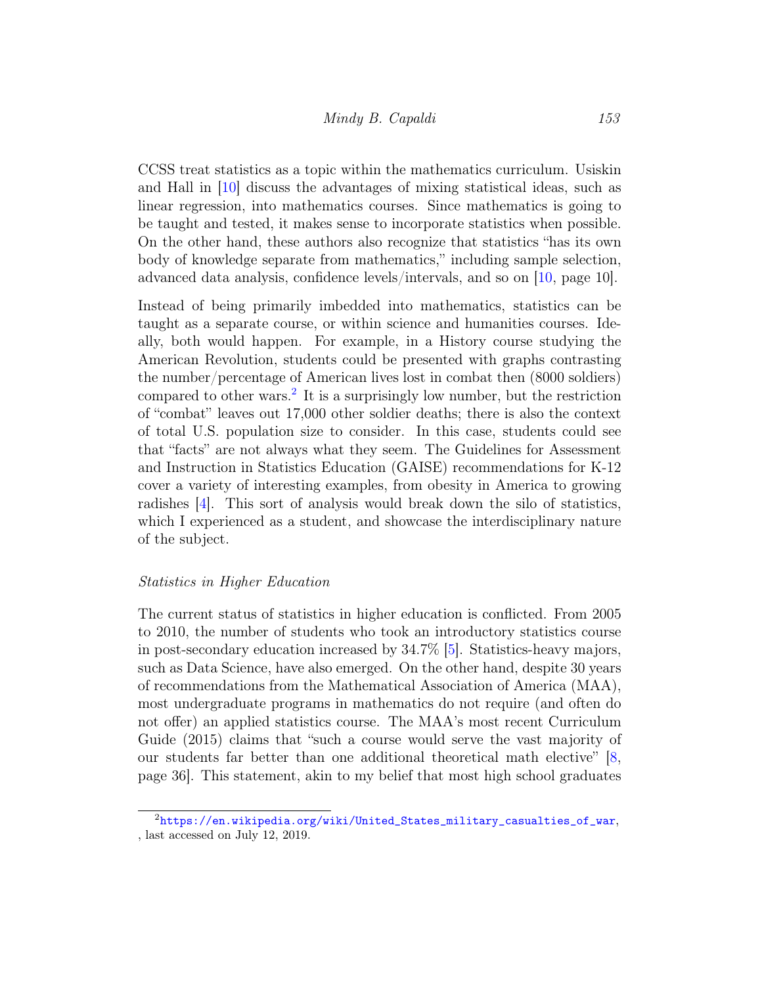CCSS treat statistics as a topic within the mathematics curriculum. Usiskin and Hall in [\[10\]](#page-8-2) discuss the advantages of mixing statistical ideas, such as linear regression, into mathematics courses. Since mathematics is going to be taught and tested, it makes sense to incorporate statistics when possible. On the other hand, these authors also recognize that statistics "has its own body of knowledge separate from mathematics," including sample selection, advanced data analysis, confidence levels/intervals, and so on [\[10,](#page-8-2) page 10].

Instead of being primarily imbedded into mathematics, statistics can be taught as a separate course, or within science and humanities courses. Ideally, both would happen. For example, in a History course studying the American Revolution, students could be presented with graphs contrasting the number/percentage of American lives lost in combat then (8000 soldiers) compared to other wars.<sup>[2](#page-5-0)</sup> It is a surprisingly low number, but the restriction of "combat" leaves out 17,000 other soldier deaths; there is also the context of total U.S. population size to consider. In this case, students could see that "facts" are not always what they seem. The Guidelines for Assessment and Instruction in Statistics Education (GAISE) recommendations for K-12 cover a variety of interesting examples, from obesity in America to growing radishes [\[4\]](#page-7-4). This sort of analysis would break down the silo of statistics, which I experienced as a student, and showcase the interdisciplinary nature of the subject.

#### Statistics in Higher Education

The current status of statistics in higher education is conflicted. From 2005 to 2010, the number of students who took an introductory statistics course in post-secondary education increased by 34.7% [\[5\]](#page-7-5). Statistics-heavy majors, such as Data Science, have also emerged. On the other hand, despite 30 years of recommendations from the Mathematical Association of America (MAA), most undergraduate programs in mathematics do not require (and often do not offer) an applied statistics course. The MAA's most recent Curriculum Guide (2015) claims that "such a course would serve the vast majority of our students far better than one additional theoretical math elective" [\[8,](#page-8-3) page 36]. This statement, akin to my belief that most high school graduates

<span id="page-5-0"></span><sup>2</sup>[https://en.wikipedia.org/wiki/United\\_States\\_military\\_casualties\\_of\\_war](https://en.wikipedia.org/wiki/United_States_military_casualties_of_war), , last accessed on July 12, 2019.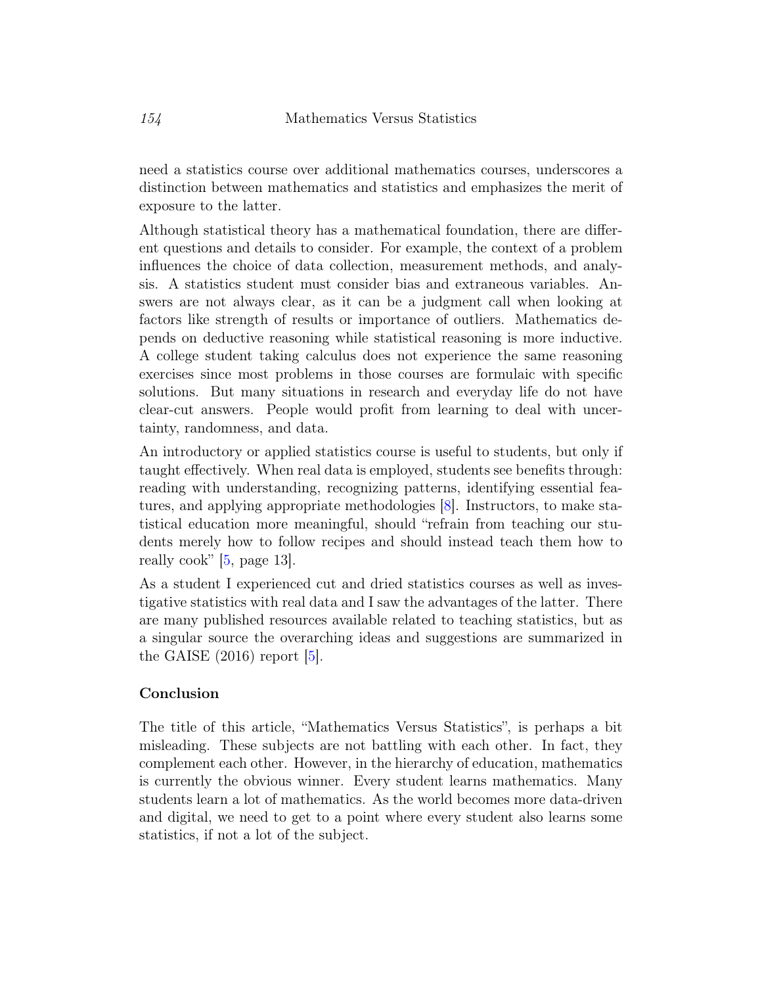need a statistics course over additional mathematics courses, underscores a distinction between mathematics and statistics and emphasizes the merit of exposure to the latter.

Although statistical theory has a mathematical foundation, there are different questions and details to consider. For example, the context of a problem influences the choice of data collection, measurement methods, and analysis. A statistics student must consider bias and extraneous variables. Answers are not always clear, as it can be a judgment call when looking at factors like strength of results or importance of outliers. Mathematics depends on deductive reasoning while statistical reasoning is more inductive. A college student taking calculus does not experience the same reasoning exercises since most problems in those courses are formulaic with specific solutions. But many situations in research and everyday life do not have clear-cut answers. People would profit from learning to deal with uncertainty, randomness, and data.

An introductory or applied statistics course is useful to students, but only if taught effectively. When real data is employed, students see benefits through: reading with understanding, recognizing patterns, identifying essential features, and applying appropriate methodologies [\[8\]](#page-8-3). Instructors, to make statistical education more meaningful, should "refrain from teaching our students merely how to follow recipes and should instead teach them how to really cook" [\[5,](#page-7-5) page 13].

As a student I experienced cut and dried statistics courses as well as investigative statistics with real data and I saw the advantages of the latter. There are many published resources available related to teaching statistics, but as a singular source the overarching ideas and suggestions are summarized in the GAISE  $(2016)$  report [\[5\]](#page-7-5).

### Conclusion

The title of this article, "Mathematics Versus Statistics", is perhaps a bit misleading. These subjects are not battling with each other. In fact, they complement each other. However, in the hierarchy of education, mathematics is currently the obvious winner. Every student learns mathematics. Many students learn a lot of mathematics. As the world becomes more data-driven and digital, we need to get to a point where every student also learns some statistics, if not a lot of the subject.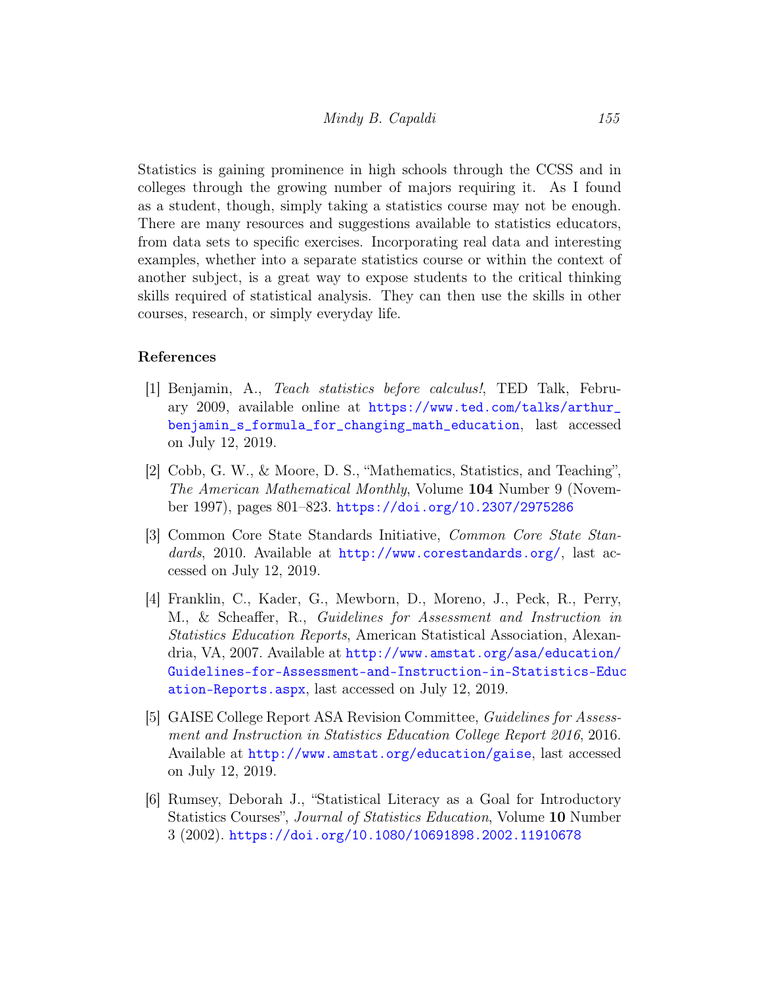Statistics is gaining prominence in high schools through the CCSS and in colleges through the growing number of majors requiring it. As I found as a student, though, simply taking a statistics course may not be enough. There are many resources and suggestions available to statistics educators, from data sets to specific exercises. Incorporating real data and interesting examples, whether into a separate statistics course or within the context of another subject, is a great way to expose students to the critical thinking skills required of statistical analysis. They can then use the skills in other courses, research, or simply everyday life.

### References

- <span id="page-7-2"></span>[1] Benjamin, A., Teach statistics before calculus!, TED Talk, February 2009, available online at [https://www.ted.com/talks/arthur\\_](https://www.ted.com/talks/arthur_benjamin_s_formula_for_changing_math_education) [benjamin\\_s\\_formula\\_for\\_changing\\_math\\_education](https://www.ted.com/talks/arthur_benjamin_s_formula_for_changing_math_education), last accessed on July 12, 2019.
- <span id="page-7-0"></span>[2] Cobb, G. W., & Moore, D. S., "Mathematics, Statistics, and Teaching", The American Mathematical Monthly, Volume 104 Number 9 (November 1997), pages 801–823. <https://doi.org/10.2307/2975286>
- <span id="page-7-3"></span>[3] Common Core State Standards Initiative, Common Core State Standards, 2010. Available at <http://www.corestandards.org/>, last accessed on July 12, 2019.
- <span id="page-7-4"></span>[4] Franklin, C., Kader, G., Mewborn, D., Moreno, J., Peck, R., Perry, M., & Scheaffer, R., Guidelines for Assessment and Instruction in Statistics Education Reports, American Statistical Association, Alexandria, VA, 2007. Available at [http://www.amstat.org/asa/education/](http://www.amstat.org/asa/education/Guidelines-for-Assessment-and-Instruction-in-Statistics-Education-Reports.aspx) [Guidelines-for-Assessment-and-Instruction-in-Statistics-Educ](http://www.amstat.org/asa/education/Guidelines-for-Assessment-and-Instruction-in-Statistics-Education-Reports.aspx) [ation-Reports.aspx](http://www.amstat.org/asa/education/Guidelines-for-Assessment-and-Instruction-in-Statistics-Education-Reports.aspx), last accessed on July 12, 2019.
- <span id="page-7-5"></span>[5] GAISE College Report ASA Revision Committee, Guidelines for Assessment and Instruction in Statistics Education College Report 2016, 2016. Available at <http://www.amstat.org/education/gaise>, last accessed on July 12, 2019.
- <span id="page-7-1"></span>[6] Rumsey, Deborah J., "Statistical Literacy as a Goal for Introductory Statistics Courses", Journal of Statistics Education, Volume 10 Number 3 (2002). <https://doi.org/10.1080/10691898.2002.11910678>